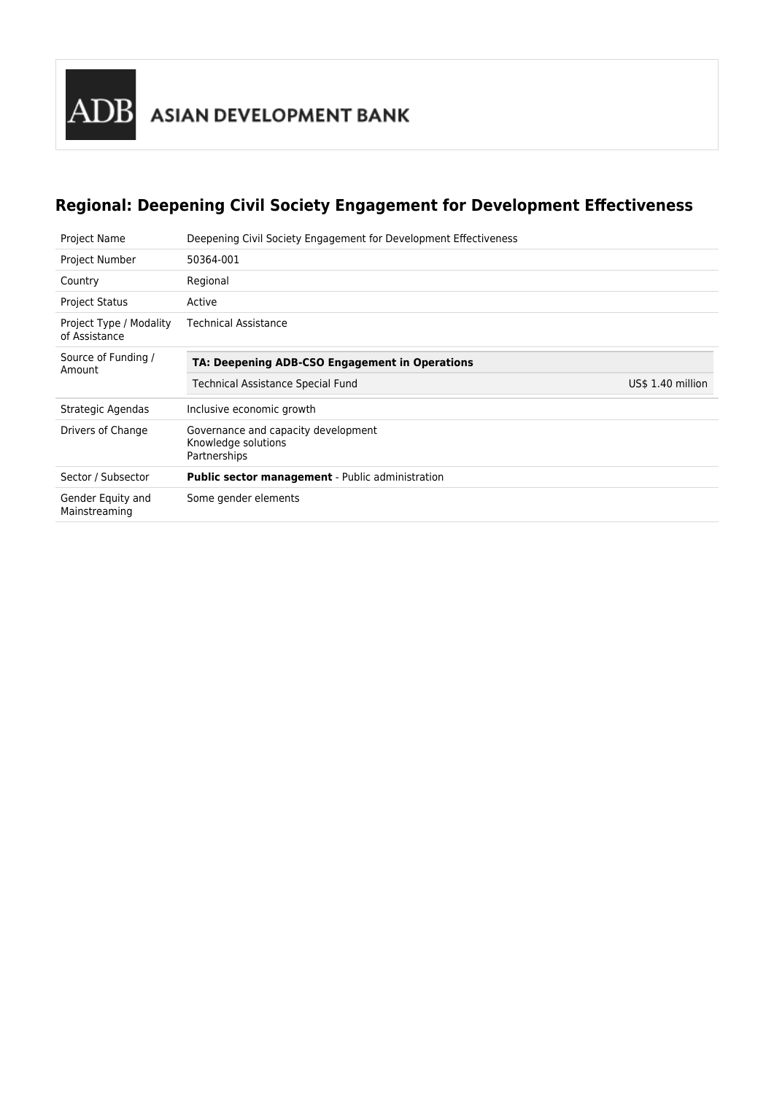

## **Regional: Deepening Civil Society Engagement for Development Effectiveness**

| Project Name                             | Deepening Civil Society Engagement for Development Effectiveness           |                   |
|------------------------------------------|----------------------------------------------------------------------------|-------------------|
| Project Number                           | 50364-001                                                                  |                   |
| Country                                  | Regional                                                                   |                   |
| <b>Project Status</b>                    | Active                                                                     |                   |
| Project Type / Modality<br>of Assistance | <b>Technical Assistance</b>                                                |                   |
| Source of Funding /<br>Amount            | TA: Deepening ADB-CSO Engagement in Operations                             |                   |
|                                          | Technical Assistance Special Fund                                          | US\$ 1.40 million |
|                                          |                                                                            |                   |
| Strategic Agendas                        | Inclusive economic growth                                                  |                   |
| Drivers of Change                        | Governance and capacity development<br>Knowledge solutions<br>Partnerships |                   |
| Sector / Subsector                       | <b>Public sector management</b> - Public administration                    |                   |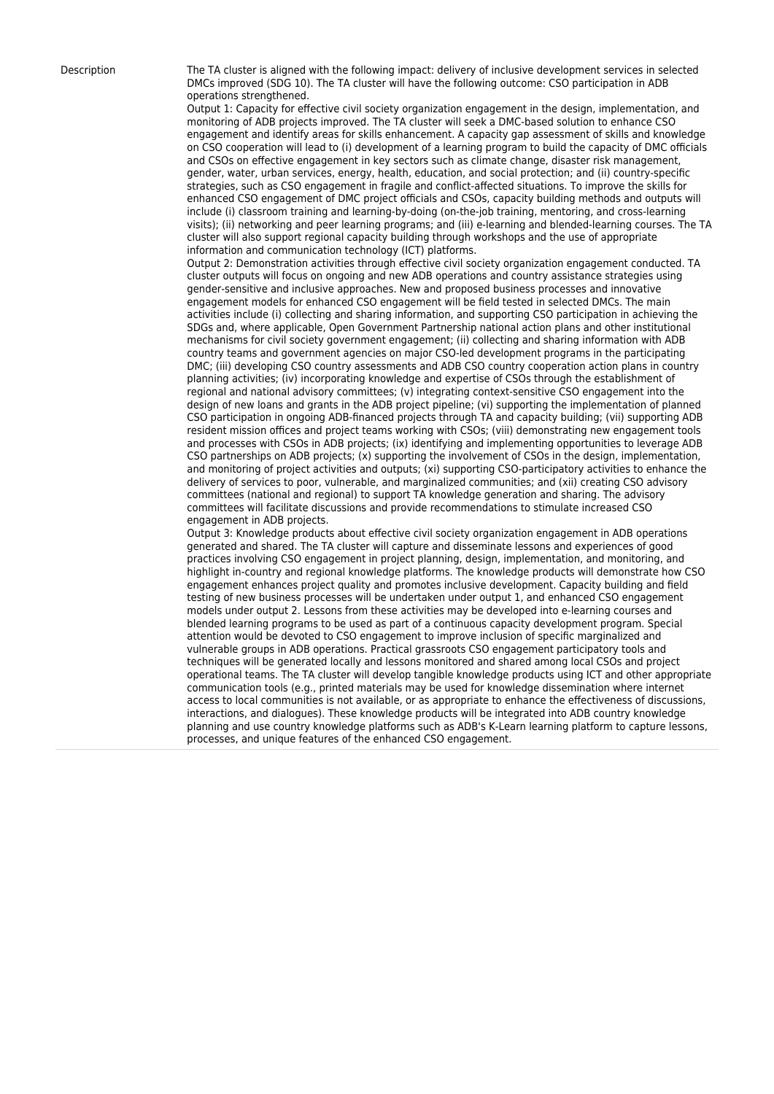Description The TA cluster is aligned with the following impact: delivery of inclusive development services in selected DMCs improved (SDG 10). The TA cluster will have the following outcome: CSO participation in ADB operations strengthened.

> Output 1: Capacity for effective civil society organization engagement in the design, implementation, and monitoring of ADB projects improved. The TA cluster will seek a DMC-based solution to enhance CSO engagement and identify areas for skills enhancement. A capacity gap assessment of skills and knowledge on CSO cooperation will lead to (i) development of a learning program to build the capacity of DMC officials and CSOs on effective engagement in key sectors such as climate change, disaster risk management, gender, water, urban services, energy, health, education, and social protection; and (ii) country-specific strategies, such as CSO engagement in fragile and conflict-affected situations. To improve the skills for enhanced CSO engagement of DMC project officials and CSOs, capacity building methods and outputs will include (i) classroom training and learning-by-doing (on-the-job training, mentoring, and cross-learning visits); (ii) networking and peer learning programs; and (iii) e-learning and blended-learning courses. The TA cluster will also support regional capacity building through workshops and the use of appropriate information and communication technology (ICT) platforms.

> Output 2: Demonstration activities through effective civil society organization engagement conducted. TA cluster outputs will focus on ongoing and new ADB operations and country assistance strategies using gender-sensitive and inclusive approaches. New and proposed business processes and innovative engagement models for enhanced CSO engagement will be field tested in selected DMCs. The main activities include (i) collecting and sharing information, and supporting CSO participation in achieving the SDGs and, where applicable, Open Government Partnership national action plans and other institutional mechanisms for civil society government engagement; (ii) collecting and sharing information with ADB country teams and government agencies on major CSO-led development programs in the participating DMC; (iii) developing CSO country assessments and ADB CSO country cooperation action plans in country planning activities; (iv) incorporating knowledge and expertise of CSOs through the establishment of regional and national advisory committees; (v) integrating context-sensitive CSO engagement into the design of new loans and grants in the ADB project pipeline; (vi) supporting the implementation of planned CSO participation in ongoing ADB-financed projects through TA and capacity building; (vii) supporting ADB resident mission offices and project teams working with CSOs; (viii) demonstrating new engagement tools and processes with CSOs in ADB projects; (ix) identifying and implementing opportunities to leverage ADB CSO partnerships on ADB projects; (x) supporting the involvement of CSOs in the design, implementation, and monitoring of project activities and outputs; (xi) supporting CSO-participatory activities to enhance the delivery of services to poor, vulnerable, and marginalized communities; and (xii) creating CSO advisory committees (national and regional) to support TA knowledge generation and sharing. The advisory committees will facilitate discussions and provide recommendations to stimulate increased CSO engagement in ADB projects.

> Output 3: Knowledge products about effective civil society organization engagement in ADB operations generated and shared. The TA cluster will capture and disseminate lessons and experiences of good practices involving CSO engagement in project planning, design, implementation, and monitoring, and highlight in-country and regional knowledge platforms. The knowledge products will demonstrate how CSO engagement enhances project quality and promotes inclusive development. Capacity building and field testing of new business processes will be undertaken under output 1, and enhanced CSO engagement models under output 2. Lessons from these activities may be developed into e-learning courses and blended learning programs to be used as part of a continuous capacity development program. Special attention would be devoted to CSO engagement to improve inclusion of specific marginalized and vulnerable groups in ADB operations. Practical grassroots CSO engagement participatory tools and techniques will be generated locally and lessons monitored and shared among local CSOs and project operational teams. The TA cluster will develop tangible knowledge products using ICT and other appropriate communication tools (e.g., printed materials may be used for knowledge dissemination where internet access to local communities is not available, or as appropriate to enhance the effectiveness of discussions, interactions, and dialogues). These knowledge products will be integrated into ADB country knowledge planning and use country knowledge platforms such as ADB's K-Learn learning platform to capture lessons, processes, and unique features of the enhanced CSO engagement.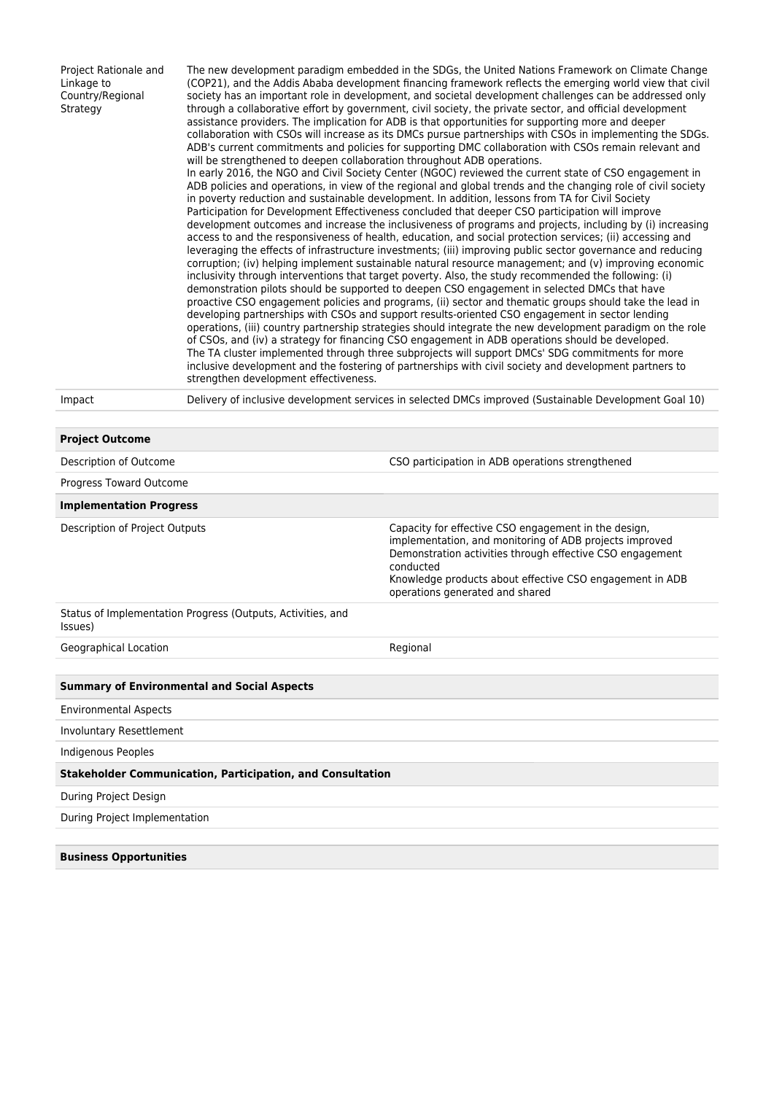Project Rationale and Linkage to Country/Regional **Strategy** 

The new development paradigm embedded in the SDGs, the United Nations Framework on Climate Change (COP21), and the Addis Ababa development financing framework reflects the emerging world view that civil society has an important role in development, and societal development challenges can be addressed only through a collaborative effort by government, civil society, the private sector, and official development assistance providers. The implication for ADB is that opportunities for supporting more and deeper collaboration with CSOs will increase as its DMCs pursue partnerships with CSOs in implementing the SDGs. ADB's current commitments and policies for supporting DMC collaboration with CSOs remain relevant and will be strengthened to deepen collaboration throughout ADB operations. In early 2016, the NGO and Civil Society Center (NGOC) reviewed the current state of CSO engagement in ADB policies and operations, in view of the regional and global trends and the changing role of civil society in poverty reduction and sustainable development. In addition, lessons from TA for Civil Society Participation for Development Effectiveness concluded that deeper CSO participation will improve development outcomes and increase the inclusiveness of programs and projects, including by (i) increasing access to and the responsiveness of health, education, and social protection services; (ii) accessing and leveraging the effects of infrastructure investments; (iii) improving public sector governance and reducing corruption; (iv) helping implement sustainable natural resource management; and (v) improving economic inclusivity through interventions that target poverty. Also, the study recommended the following: (i) demonstration pilots should be supported to deepen CSO engagement in selected DMCs that have proactive CSO engagement policies and programs, (ii) sector and thematic groups should take the lead in developing partnerships with CSOs and support results-oriented CSO engagement in sector lending operations, (iii) country partnership strategies should integrate the new development paradigm on the role of CSOs, and (iv) a strategy for financing CSO engagement in ADB operations should be developed. The TA cluster implemented through three subprojects will support DMCs' SDG commitments for more inclusive development and the fostering of partnerships with civil society and development partners to strengthen development effectiveness.

**Project Outcome**

Impact Delivery of inclusive development services in selected DMCs improved (Sustainable Development Goal 10)

| <b>Project Outcome</b>                                                 |                                                                                                                                                                                                                                                                                          |  |  |  |
|------------------------------------------------------------------------|------------------------------------------------------------------------------------------------------------------------------------------------------------------------------------------------------------------------------------------------------------------------------------------|--|--|--|
| Description of Outcome                                                 | CSO participation in ADB operations strengthened                                                                                                                                                                                                                                         |  |  |  |
| Progress Toward Outcome                                                |                                                                                                                                                                                                                                                                                          |  |  |  |
| <b>Implementation Progress</b>                                         |                                                                                                                                                                                                                                                                                          |  |  |  |
| Description of Project Outputs                                         | Capacity for effective CSO engagement in the design,<br>implementation, and monitoring of ADB projects improved<br>Demonstration activities through effective CSO engagement<br>conducted<br>Knowledge products about effective CSO engagement in ADB<br>operations generated and shared |  |  |  |
| Status of Implementation Progress (Outputs, Activities, and<br>Issues) |                                                                                                                                                                                                                                                                                          |  |  |  |
| Geographical Location                                                  | Regional                                                                                                                                                                                                                                                                                 |  |  |  |
|                                                                        |                                                                                                                                                                                                                                                                                          |  |  |  |
| <b>Summary of Environmental and Social Aspects</b>                     |                                                                                                                                                                                                                                                                                          |  |  |  |
| <b>Environmental Aspects</b>                                           |                                                                                                                                                                                                                                                                                          |  |  |  |
| Involuntary Resettlement                                               |                                                                                                                                                                                                                                                                                          |  |  |  |
| Indigenous Peoples                                                     |                                                                                                                                                                                                                                                                                          |  |  |  |
| <b>Stakeholder Communication, Participation, and Consultation</b>      |                                                                                                                                                                                                                                                                                          |  |  |  |
| During Project Design                                                  |                                                                                                                                                                                                                                                                                          |  |  |  |
| During Project Implementation                                          |                                                                                                                                                                                                                                                                                          |  |  |  |
|                                                                        |                                                                                                                                                                                                                                                                                          |  |  |  |
| <b>Business Opportunities</b>                                          |                                                                                                                                                                                                                                                                                          |  |  |  |